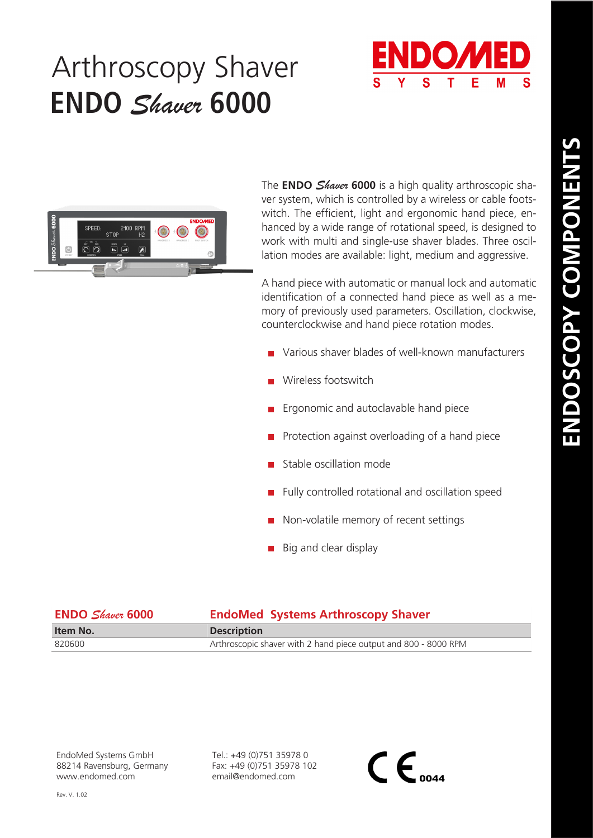## Arthroscopy Shaver **ENDO** *Shaver* **6000**





The **ENDO** *Shaver* **6000** is a high quality arthroscopic shaver system, which is controlled by a wireless or cable footswitch. The efficient, light and ergonomic hand piece, enhanced by a wide range of rotational speed, is designed to work with multi and single-use shaver blades. Three oscillation modes are available: light, medium and aggressive.

A hand piece with automatic or manual lock and automatic identification of a connected hand piece as well as a memory of previously used parameters. Oscillation, clockwise, counterclockwise and hand piece rotation modes.

- Various shaver blades of well-known manufacturers
- Wireless footswitch
- **Example 2** Ergonomic and autoclavable hand piece
- Protection against overloading of a hand piece
- Stable oscillation mode
- Fully controlled rotational and oscillation speed
- Non-volatile memory of recent settings
- $\blacksquare$  Big and clear display

| <b>ENDO</b> Shaver 6000 | <b>EndoMed Systems Arthroscopy Shaver</b>                       |
|-------------------------|-----------------------------------------------------------------|
| Item No.                | <b>Description</b>                                              |
| 820600                  | Arthroscopic shaver with 2 hand piece output and 800 - 8000 RPM |

EndoMed Systems GmbH 88214 Ravensburg, Germany www.endomed.com

Tel.: +49 (0)751 35978 0 Fax: +49 (0)751 35978 102 email@endomed.com